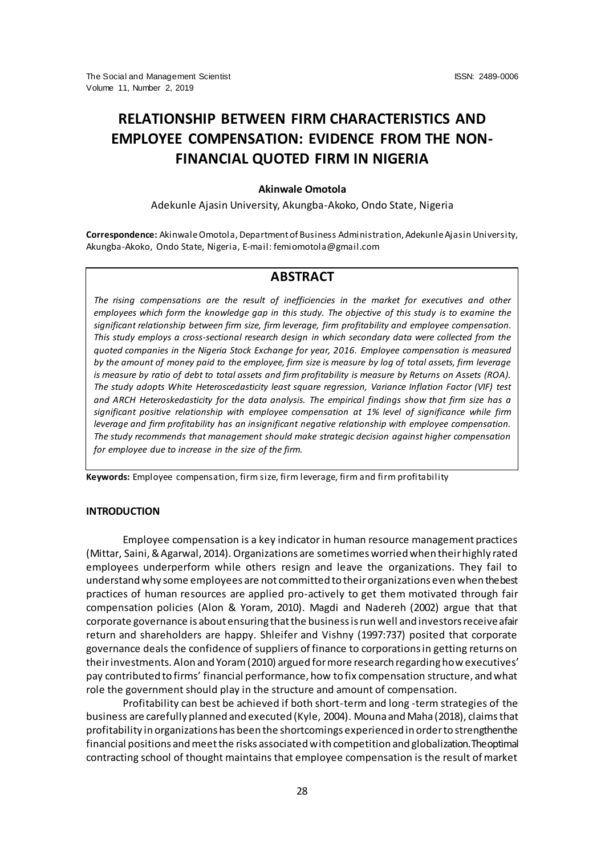# **RELATIONSHIP BETWEEN FIRM CHARACTERISTICS AND EMPLOYEE COMPENSATION: EVIDENCE FROM THE NON-FINANCIAL QUOTED FIRM IN NIGERIA**

# **Akinwale Omotola**

Adekunle Ajasin University, Akungba-Akoko, Ondo State, Nigeria

**Correspondence:** Akinwale Omotola, Department of Business Administration, Adekunle Ajasin University, Akungba-Akoko, Ondo State, Nigeria, E-mail: femiomotola@gmail.com

# **ABSTRACT**

*The rising compensations are the result of inefficiencies in the market for executives and other employees which form the knowledge gap in this study. The objective of this study is to examine the significant relationship between firm size, firm leverage, firm profitability and employee compensation. This study employs a cross-sectional research design in which secondary data were collected from the quoted companies in the Nigeria Stock Exchange for year, 2016. Employee compensation is measured by the amount of money paid to the employee, firm size is measure by log of total assets, firm leverage is measure by ratio of debt to total assets and firm profitability is measure by Returns on Assets (ROA). The study adopts White Heteroscedasticity least square regression, Variance Inflation Factor (VIF) test and ARCH Heteroskedasticity for the data analysis. The empirical findings show that firm size has a significant positive relationship with employee compensation at 1% level of significance while firm leverage and firm profitability has an insignificant negative relationship with employee compensation. The study recommends that management should make strategic decision against higher compensation for employee due to increase in the size of the firm.* 

**Keywords:** Employee compensation, firm size, firm leverage, firm and firm profitability

#### **INTRODUCTION**

Employee compensation is a key indicator in human resource management practices (Mittar, Saini, & Agarwal, 2014). Organizations are sometimes worried when their highly rated employees underperform while others resign and leave the organizations. They fail to understand why some employees are not committed to their organizations even when the best practices of human resources are applied pro-actively to get them motivated through fair compensation policies (Alon & Yoram, 2010). Magdi and Nadereh (2002) argue that that corporate governance is about ensuring that the business is run well and investors receive afair return and shareholders are happy. Shleifer and Vishny (1997:737) posited that corporate governance deals the confidence of suppliers of finance to corporations in getting returns on their investments. Alon and Yoram (2010) argued for more research regarding how executives' pay contributed to firms' financial performance, how to fix compensation structure, and what role the government should play in the structure and amount of compensation.

Profitability can best be achieved if both short-term and long -term strategies of the business are carefully planned and executed (Kyle, 2004). Mouna and Maha (2018), claims that profitability in organizations has been the shortcomings experienced in order to strengthen the financial positions and meet the risks associated with competition and globalization. The optimal contracting school of thought maintains that employee compensation is the result of market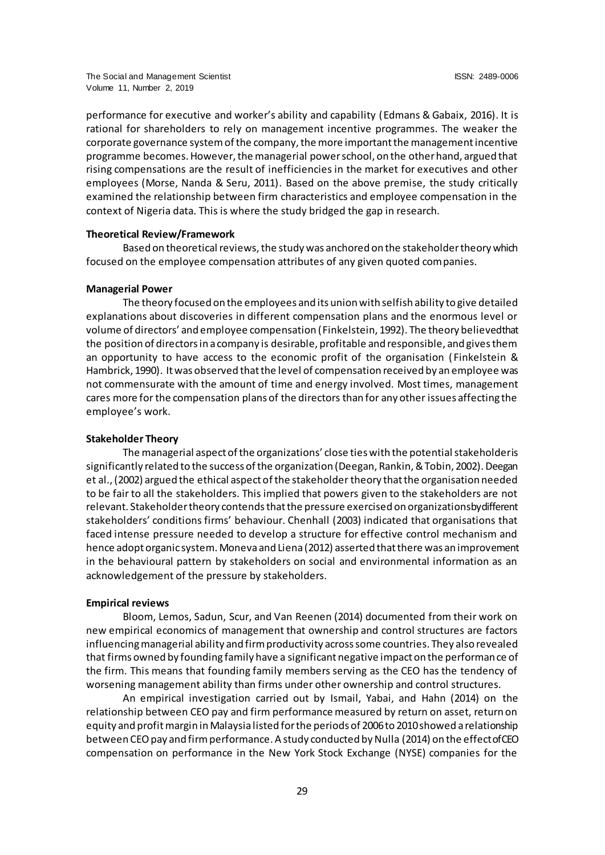performance for executive and worker's ability and capability (Edmans & Gabaix, 2016). It is rational for shareholders to rely on management incentive programmes. The weaker the corporate governance system of the company, the more important the management incentive programme becomes. However, the managerial power school, on the other hand, argued that rising compensations are the result of inefficiencies in the market for executives and other employees (Morse, Nanda & Seru, 2011). Based on the above premise, the study critically examined the relationship between firm characteristics and employee compensation in the context of Nigeria data. This is where the study bridged the gap in research.

## **Theoretical Review/Framework**

Based on theoretical reviews, the study was anchored on the stakeholder theory which focused on the employee compensation attributes of any given quoted companies.

## **Managerial Power**

The theory focused on the employees and its union with selfish ability to give detailed explanations about discoveries in different compensation plans and the enormous level or volume of directors' and employee compensation (Finkelstein, 1992). The theory believed that the position of directors in a company is desirable, profitable and responsible, and gives them an opportunity to have access to the economic profit of the organisation ( Finkelstein & Hambrick, 1990). It was observed that the level of compensation received by an employee was not commensurate with the amount of time and energy involved. Most times, management cares more for the compensation plans of the directors than for any other issues affecting the employee's work.

# **Stakeholder Theory**

The managerial aspect of the organizations' close ties with the potential stakeholderis significantly related to the success of the organization (Deegan, Rankin, & Tobin, 2002). Deegan et al., (2002) argued the ethical aspect of the stakeholder theory that the organisation needed to be fair to all the stakeholders. This implied that powers given to the stakeholders are not relevant. Stakeholder theory contends that the pressure exercised on organizations by different stakeholders' conditions firms' behaviour. Chenhall (2003) indicated that organisations that faced intense pressure needed to develop a structure for effective control mechanism and hence adopt organic system. Moneva and Liena (2012) asserted that there was an improvement in the behavioural pattern by stakeholders on social and environmental information as an acknowledgement of the pressure by stakeholders.

#### **Empirical reviews**

Bloom, Lemos, Sadun, Scur, and Van Reenen (2014) documented from their work on new empirical economics of management that ownership and control structures are factors influencing managerial ability and firm productivity across some countries. They also revealed that firms owned by founding family have a significant negative impact on the performance of the firm. This means that founding family members serving as the CEO has the tendency of worsening management ability than firms under other ownership and control structures.

An empirical investigation carried out by Ismail, Yabai, and Hahn (2014) on the relationship between CEO pay and firm performance measured by return on asset, return on equity and profit margin in Malaysia listed for the periods of 2006 to 2010 showed a relationship between CEO pay and firm performance. A study conducted by Nulla (2014) on the effect of CEO compensation on performance in the New York Stock Exchange (NYSE) companies for the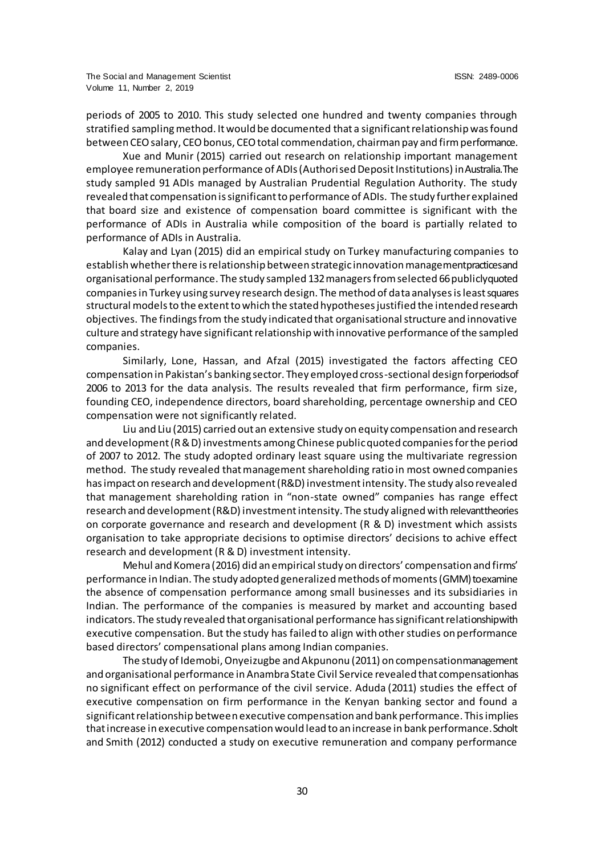periods of 2005 to 2010. This study selected one hundred and twenty companies through stratified sampling method. It would be documented that a significant relationship was found between CEO salary, CEO bonus, CEO total commendation, chairman pay and firm performance.

Xue and Munir (2015) carried out research on relationship important management employee remuneration performance of ADIs (Authorised Deposit Institutions) in Australia. The study sampled 91 ADIs managed by Australian Prudential Regulation Authority. The study revealed that compensation is significant to performance of ADIs. The study further explained that board size and existence of compensation board committee is significant with the performance of ADIs in Australia while composition of the board is partially related to performance of ADIs in Australia.

Kalay and Lyan (2015) did an empirical study on Turkey manufacturing companies to establish whether there is relationship between strategic innovation management practices and organisational performance. The study sampled 132 managers from selected 66 publicly quoted companies in Turkey using survey research design. The method of data analyses is least squares structural models to the extent to which the stated hypotheses justified the intended research objectives. The findings from the study indicated that organisational structure and innovative culture and strategy have significant relationship with innovative performance of the sampled companies.

Similarly, Lone, Hassan, and Afzal (2015) investigated the factors affecting CEO compensation in Pakistan's banking sector. They employed cross-sectional design for periods of 2006 to 2013 for the data analysis. The results revealed that firm performance, firm size, founding CEO, independence directors, board shareholding, percentage ownership and CEO compensation were not significantly related.

Liu and Liu (2015) carried out an extensive study on equity compensation and research and development (R & D) investments among Chinese public quoted companies for the period of 2007 to 2012. The study adopted ordinary least square using the multivariate regression method. The study revealed that management shareholding ratio in most owned companies has impact on research and development (R&D) investment intensity. The study also revealed that management shareholding ration in "non-state owned" companies has range effect research and development (R&D) investment intensity. The study aligned with relevant theories on corporate governance and research and development (R & D) investment which assists organisation to take appropriate decisions to optimise directors' decisions to achive effect research and development (R & D) investment intensity.

Mehul and Komera (2016) did an empirical study on directors' compensation and firms' performance in Indian. The study adopted generalized methods of moments (GMM) to examine the absence of compensation performance among small businesses and its subsidiaries in Indian. The performance of the companies is measured by market and accounting based indicators. The study revealed that organisational performance has significant relationship with executive compensation. But the study has failed to align with other studies on performance based directors' compensational plans among Indian companies.

The study of Idemobi, Onyeizugbe and Akpunonu (2011) on compensation management and organisational performance in Anambra State Civil Service revealed that compensation has no significant effect on performance of the civil service. Aduda (2011) studies the effect of executive compensation on firm performance in the Kenyan banking sector and found a significant relationship between executive compensation and bank performance. This implies that increase in executive compensation would lead to an increase in bank performance. Scholt and Smith (2012) conducted a study on executive remuneration and company performance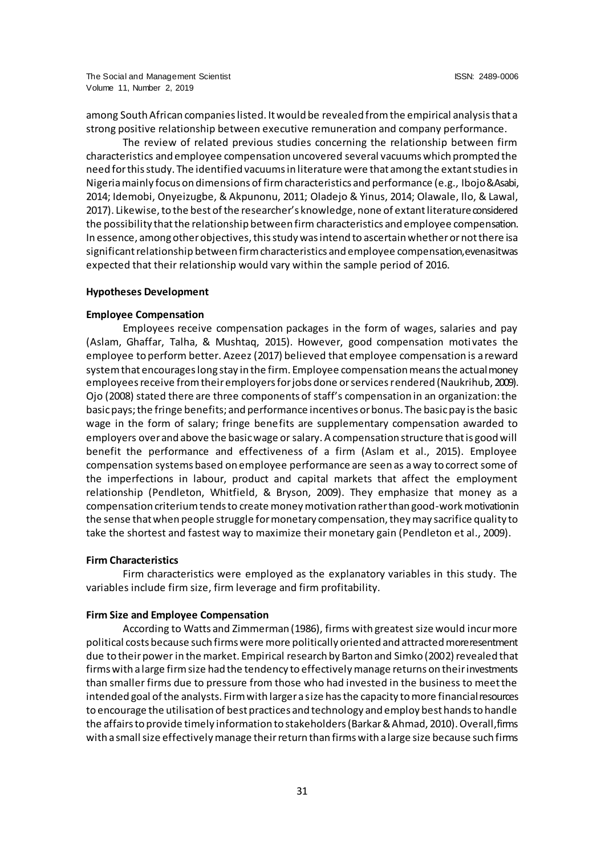among South African companies listed. It would be revealed from the empirical analysis that a strong positive relationship between executive remuneration and company performance.

The review of related previous studies concerning the relationship between firm characteristics and employee compensation uncovered several vacuums which prompted the need for this study. The identified vacuums in literature were that among the extant studies in Nigeria mainly focus on dimensions of firm characteristics and performance (e.g., Ibojo & Asabi, 2014; Idemobi, Onyeizugbe, & Akpunonu, 2011; Oladejo & Yinus, 2014; Olawale, Ilo, & Lawal, 2017). Likewise, to the best of the researcher's knowledge, none of extant literature considered the possibility that the relationship between firm characteristics and employee compensation. In essence, among other objectives, this study was intend to ascertain whether or not there is a significant relationship between firm characteristics and employee compensation, even as it was expected that their relationship would vary within the sample period of 2016.

## **Hypotheses Development**

#### **Employee Compensation**

Employees receive compensation packages in the form of wages, salaries and pay (Aslam, Ghaffar, Talha, & Mushtaq, 2015). However, good compensation moti vates the employee to perform better. Azeez (2017) believed that employee compensation is a reward system that encourages long stay in the firm. Employee compensation means the actual money employees receive from their employers for jobs done or services rendered (Naukrihub, 2009). Ojo (2008) stated there are three components of staff's compensation in an organization: the basic pays; the fringe benefits; and performance incentives or bonus. The basic pay is the basic wage in the form of salary; fringe benefits are supplementary compensation awarded to employers over and above the basic wage or salary. A compensation structure that is good will benefit the performance and effectiveness of a firm (Aslam et al., 2015). Employee compensation systems based on employee performance are seen as a way to correct some of the imperfections in labour, product and capital markets that affect the employment relationship (Pendleton, Whitfield, & Bryson, 2009). They emphasize that money as a compensation criterium tends to create money motivation rather than good-work motivation in the sense that when people struggle for monetary compensation, they may sacrifice quality to take the shortest and fastest way to maximize their monetary gain (Pendleton et al., 2009).

#### **Firm Characteristics**

Firm characteristics were employed as the explanatory variables in this study. The variables include firm size, firm leverage and firm profitability.

## **Firm Size and Employee Compensation**

According to Watts and Zimmerman (1986), firms with greatest size would incur more political costs because such firms were more politically oriented and attracted more resentment due to their power in the market. Empirical research by Barton and Simko (2002) revealed that firms with a large firm size had the tendency to effectively manage returns on their investments than smaller firms due to pressure from those who had invested in the business to meet the intended goal of the analysts. Firm with larger a size has the capacity to more financial resources to encourage the utilisation of best practices and technology and employ best hands to handle the affairs to provide timely information to stakeholders (Barkar & Ahmad, 2010). Overall, firms with a small size effectively manage their return than firms with a large size because such firms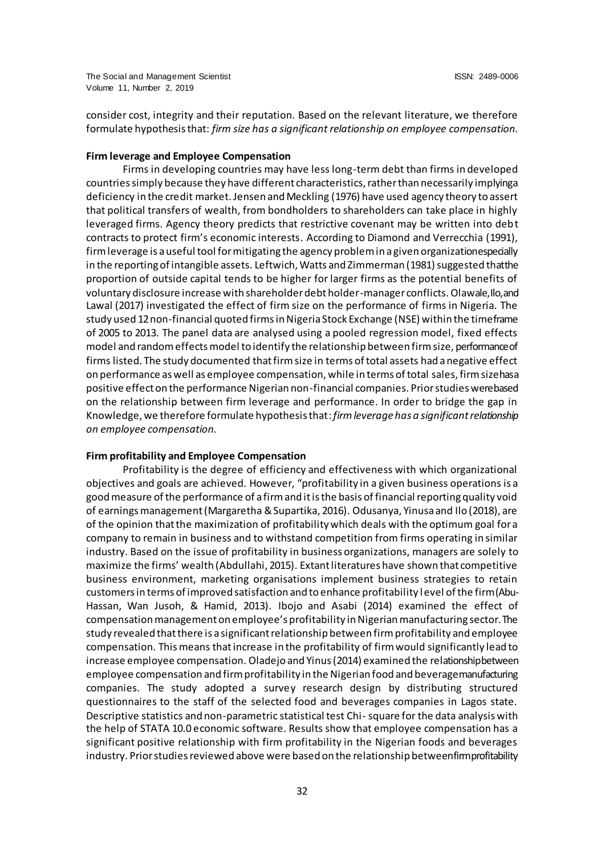consider cost, integrity and their reputation. Based on the relevant literature, we therefore formulate hypothesis that: *firm size has a significant relationship on employee compensation.*

## **Firm leverage and Employee Compensation**

Firms in developing countries may have less long-term debt than firms in developed countries simply because they have different characteristics, rather than necessarily implyinga deficiency in the credit market. Jensen and Meckling (1976) have used agency theory to assert that political transfers of wealth, from bondholders to shareholders can take place in highly leveraged firms. Agency theory predicts that restrictive covenant may be written into debt contracts to protect firm's economic interests. According to Diamond and Verrecchia (1991), firm leverage is a useful tool for mitigating the agency problem in a given organizationespecially in the reporting of intangible assets. Leftwich, Watts and Zimmerman (1981) suggested that the proportion of outside capital tends to be higher for larger firms as the potential benefits of voluntary disclosure increase with shareholder debt holder-manager conflicts. Olawale, Ilo, and Lawal (2017) investigated the effect of firm size on the performance of firms in Nigeria. The study used 12 non-financial quoted firms in Nigeria Stock Exchange (NSE) within the time frame of 2005 to 2013. The panel data are analysed using a pooled regression model, fixed effects model and random effects model to identify the relationship between firm size, performance of firms listed. The study documented that firm size in terms of total assets had a negative effect on performance as well as employee compensation, while in terms of total sales, firm size has a positive effect on the performance Nigerian non-financial companies. Prior studies were based on the relationship between firm leverage and performance. In order to bridge the gap in Knowledge, we therefore formulate hypothesis that: *firm leverage has a significant relationship on employee compensation.*

## **Firm profitability and Employee Compensation**

Profitability is the degree of efficiency and effectiveness with which organizational objectives and goals are achieved. However, "profitability in a given business operations is a good measure of the performance of a firm and it is the basis of financial reporting quality void of earnings management (Margaretha & Supartika, 2016). Odusanya, Yinusa and Ilo (2018), are of the opinion that the maximization of profitability which deals with the optimum goal for a company to remain in business and to withstand competition from firms operating in similar industry. Based on the issue of profitability in business organizations, managers are solely to maximize the firms' wealth (Abdullahi, 2015). Extant literatures have shown that competitive business environment, marketing organisations implement business strategies to retain customers in terms of improved satisfaction and to enhance profitability level of the firm (Abu-Hassan, Wan Jusoh, & Hamid, 2013). Ibojo and Asabi (2014) examined the effect of compensation management on employee's profitability in Nigerian manufacturing sector. The study revealed that there is a significant relationship between firm profitability and employee compensation. This means that increase in the profitability of firm would significantly lead to increase employee compensation. Oladejo and Yinus (2014) examined the relationship between employee compensation and firm profitability in the Nigerian food and beverage manufacturing companies. The study adopted a survey research design by distributing structured questionnaires to the staff of the selected food and beverages companies in Lagos state. Descriptive statistics and non-parametric statistical test Chi- square for the data analysis with the help of STATA 10.0 economic software. Results show that employee compensation has a significant positive relationship with firm profitability in the Nigerian foods and beverages industry. Prior studies reviewed above were based on the relationship between firm profitability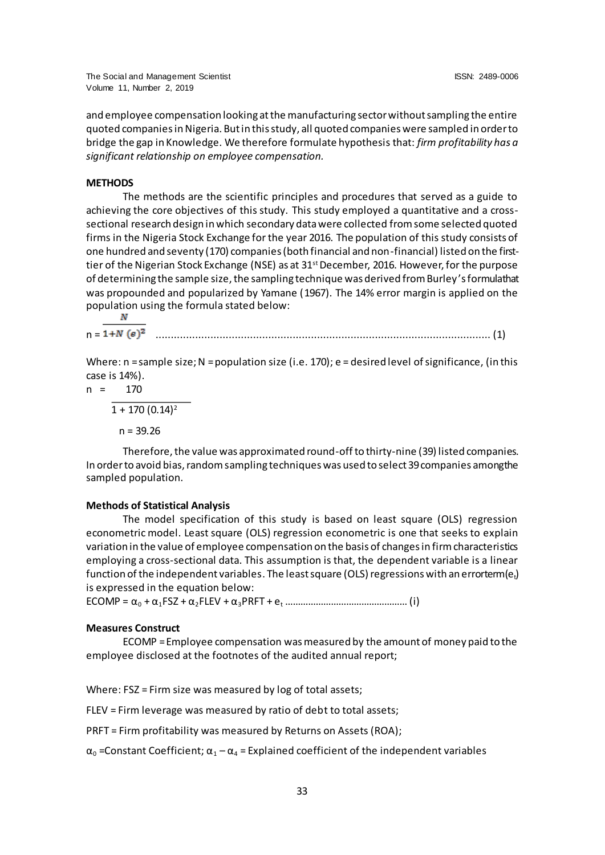and employee compensation looking at the manufacturing sector without sampling the entire quoted companies in Nigeria. But in this study, all quoted companies were sampled in order to bridge the gap in Knowledge. We therefore formulate hypothesis that: *firm profitability has a significant relationship on employee compensation.*

## **METHODS**

The methods are the scientific principles and procedures that served as a guide to achieving the core objectives of this study. This study employed a quantitative and a crosssectional research design in which secondary data were collected from some selected quoted firms in the Nigeria Stock Exchange for the year 2016. The population of this study consists of one hundred and seventy (170) companies (both financial and non-financial) listed on the firsttier of the Nigerian Stock Exchange (NSE) as at 31<sup>st</sup> December, 2016. However, for the purpose of determining the sample size, the sampling technique was derived from Burley's formula that was propounded and popularized by Yamane (1967). The 14% error margin is applied on the population using the formula stated below:<br> $\frac{N}{N}$ 

n = .............................................................................................................. (1)

Where:  $n =$ sample size;  $N =$ population size (i.e. 170);  $e =$  desired level of significance, (in this case is 14%).

n = 
$$
\frac{170}{1 + 170 (0.14)^2}
$$

 $n = 39.26$ 

Therefore, the value was approximated round-off to thirty-nine (39) listed companies. In order to avoid bias, random sampling techniques was used to select 39 companies among the sampled population.

## **Methods of Statistical Analysis**

The model specification of this study is based on least square (OLS) regression econometric model. Least square (OLS) regression econometric is one that seeks to explain variation in the value of employee compensation on the basis of changes in firm characteristics employing a cross-sectional data. This assumption is that, the dependent variable is a linear function of the independent variables. The least square (OLS) regressions with an error term (e<sub>t</sub>) is expressed in the equation below:

ECOMP = α<sup>0</sup> + α1FSZ + α2FLEV + α3PRFT + e<sup>t</sup> ………………………………………… (i)

## **Measures Construct**

ECOMP = Employee compensation was measured by the amount of money paid to the employee disclosed at the footnotes of the audited annual report;

Where: FSZ = Firm size was measured by log of total assets;

FLEV = Firm leverage was measured by ratio of debt to total assets;

PRFT = Firm profitability was measured by Returns on Assets (ROA);

 $\alpha_0$  =Constant Coefficient;  $\alpha_1 - \alpha_4$  = Explained coefficient of the independent variables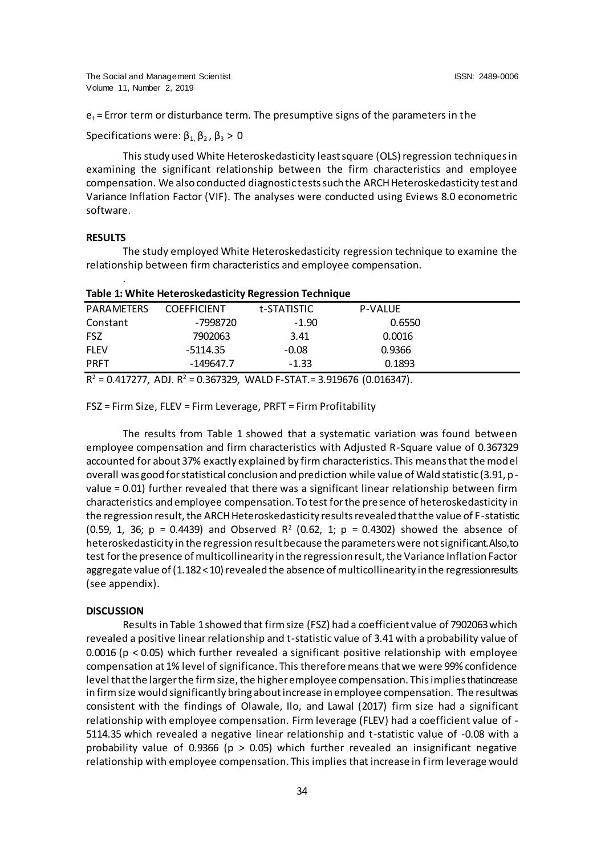$e_t$  = Error term or disturbance term. The presumptive signs of the parameters in the

Specifications were:  $\beta_1$ ,  $\beta_2$ ,  $\beta_3 > 0$ 

This study used White Heteroskedasticity least square (OLS) regression techniques in examining the significant relationship between the firm characteristics and employee compensation. We also conducted diagnostic tests such the ARCH Heteroskedasticity test and Variance Inflation Factor (VIF). The analyses were conducted using Eviews 8.0 econometric software.

#### **RESULTS**

.

The study employed White Heteroskedasticity regression technique to examine the relationship between firm characteristics and employee compensation.

| Table 1. WILLE HELETOSNEUGSLICILY NEGLESSION TECHNIQUE |                    |                                                                              |                |  |  |
|--------------------------------------------------------|--------------------|------------------------------------------------------------------------------|----------------|--|--|
| PARAMETERS                                             | <b>COEFFICIENT</b> | t-STATISTIC                                                                  | <b>P-VALUE</b> |  |  |
| Constant                                               | -7998720           | $-1.90$                                                                      | 0.6550         |  |  |
| <b>FSZ</b>                                             | 7902063            | 3.41                                                                         | 0.0016         |  |  |
| <b>FLEV</b>                                            | -5114.35           | $-0.08$                                                                      | 0.9366         |  |  |
| <b>PRFT</b>                                            | $-149647.7$        | $-1.33$                                                                      | 0.1893         |  |  |
|                                                        |                    | $R^2$ = 0.417277, ADJ. $R^2$ = 0.367329, WALD F-STAT. = 3.919676 (0.016347). |                |  |  |

**Table 1: White Heteroskedasticity Regression Technique**

FSZ = Firm Size, FLEV = Firm Leverage, PRFT = Firm Profitability

The results from Table 1 showed that a systematic variation was found between employee compensation and firm characteristics with Adjusted R-Square value of 0.367329 accounted for about 37% exactly explained by firm characteristics. This means that the model overall was good for statistical conclusion and prediction while value of Wald statistic (3.91, pvalue = 0.01) further revealed that there was a significant linear relationship between firm characteristics and employee compensation. To test for the presence of heteroskedasticity in the regression result, the ARCH Heteroskedasticity results revealed that the value of F-statistic (0.59, 1, 36;  $p = 0.4439$ ) and Observed R<sup>2</sup> (0.62, 1;  $p = 0.4302$ ) showed the absence of heteroskedasticity in the regression result because the parameters were not significant. Also, to test for the presence of multicollinearity in the regression result, the Variance Inflation Factor aggregate value of (1.182<10) revealed the absence of multicollinearity in the regressionresults (see appendix).

#### **DISCUSSION**

Results in Table 1 showed that firm size (FSZ) had a coefficient value of 7902063 which revealed a positive linear relationship and t-statistic value of 3.41 with a probability value of 0.0016 ( $p < 0.05$ ) which further revealed a significant positive relationship with employee compensation at 1% level of significance. This therefore means that we were 99% confidence level that the larger the firm size, the higher employee compensation. This implies that increase in firm size would significantly bring about increase in employee compensation. The resultwas consistent with the findings of Olawale, Ilo, and Lawal (2017) firm size had a significant relationship with employee compensation. Firm leverage (FLEV) had a coefficient value of - 5114.35 which revealed a negative linear relationship and t-statistic value of -0.08 with a probability value of 0.9366 ( $p > 0.05$ ) which further revealed an insignificant negative relationship with employee compensation. This implies that increase in firm leverage would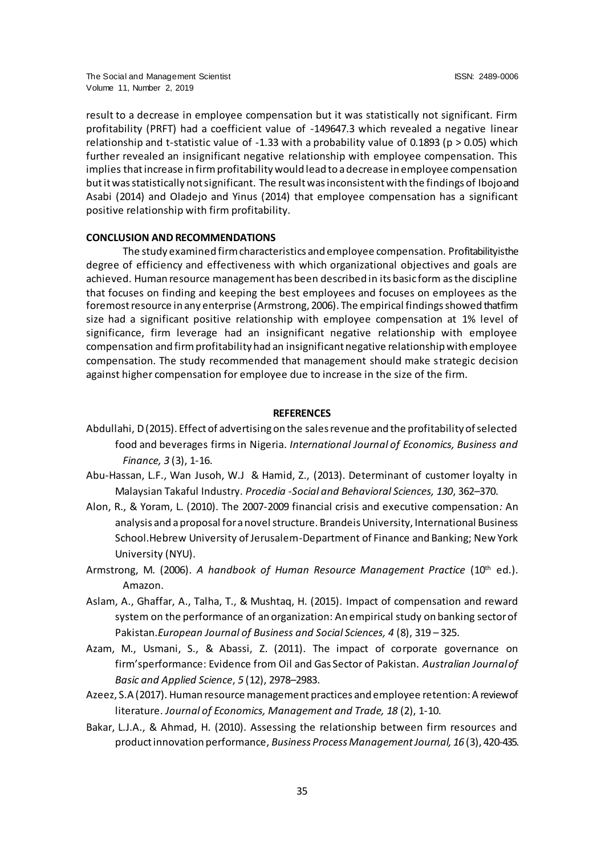result to a decrease in employee compensation but it was statistically not significant. Firm profitability (PRFT) had a coefficient value of -149647.3 which revealed a negative linear relationship and t-statistic value of -1.33 with a probability value of 0.1893 ( $p > 0.05$ ) which further revealed an insignificant negative relationship with employee compensation. This implies that increase in firm profitability would lead to a decrease in employee compensation but it was statistically not significant. The result was inconsistent with the findings of Ibojo and Asabi (2014) and Oladejo and Yinus (2014) that employee compensation has a significant positive relationship with firm profitability.

## **CONCLUSION AND RECOMMENDATIONS**

The study examined firm characteristics and employee compensation. Profitability is the degree of efficiency and effectiveness with which organizational objectives and goals are achieved. Human resource management has been described in its basic form as the discipline that focuses on finding and keeping the best employees and focuses on employees as the foremost resource in any enterprise (Armstrong, 2006). The empirical findings showed that firm size had a significant positive relationship with employee compensation at 1% level of significance, firm leverage had an insignificant negative relationship with employee compensation and firm profitability had an insignificant negative relationship with employee compensation. The study recommended that management should make strategic decision against higher compensation for employee due to increase in the size of the firm.

# **REFERENCES**

- Abdullahi, D (2015). Effect of advertising on the sales revenue and the profitability of selected food and beverages firms in Nigeria. *International Journal of Economics, Business and Finance, 3* (3), 1-16.
- Abu-Hassan, L.F., Wan Jusoh, W.J & Hamid, Z., (2013). Determinant of customer loyalty in Malaysian Takaful Industry. *Procedia -Social and Behavioral Sciences, 130*, 362–370.
- Alon, R., & Yoram, L. (2010). The 2007-2009 financial crisis and executive compensation*:* An analysis and a proposal for a novel structure. Brandeis University, International Business School.Hebrew University of Jerusalem-Department of Finance and Banking; New York University (NYU).
- Armstrong, M. (2006). *A handbook of Human Resource Management Practice* (10th ed.). Amazon.
- Aslam, A., Ghaffar, A., Talha, T., & Mushtaq, H. (2015). Impact of compensation and reward system on the performance of an organization: An empirical study on banking sector of Pakistan.*European Journal of Business and Social Sciences, 4* (8), 319 – 325.
- Azam, M., Usmani, S., & Abassi, Z. (2011). The impact of corporate governance on firm'sperformance: Evidence from Oil and Gas Sector of Pakistan. *Australian Journal of Basic and Applied Science*, *5* (12), 2978–2983.
- Azeez, S.A (2017). Human resource management practices and employee retention: A review of literature. *Journal of Economics, Management and Trade, 18* (2), 1-10.
- Bakar, L.J.A., & Ahmad, H. (2010). Assessing the relationship between firm resources and product innovation performance, *Business Process Management Journal, 16* (3), 420-435.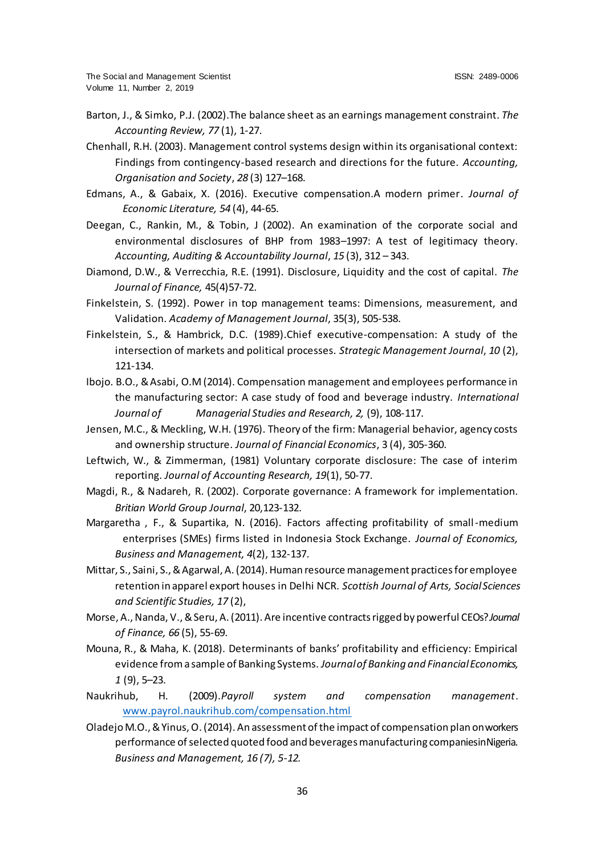- Barton, J., & Simko, P.J. (2002).The balance sheet as an earnings management constraint*. The Accounting Review, 77* (1), 1-27.
- Chenhall, R.H. (2003). Management control systems design within its organisational context: Findings from contingency-based research and directions for the future. *Accounting, Organisation and Society*, *28* (3) 127–168.
- Edmans, A., & Gabaix, X. (2016). Executive compensation.A modern primer. *Journal of Economic Literature, 54* (4), 44-65.
- Deegan, C., Rankin, M., & Tobin, J (2002). An examination of the corporate social and environmental disclosures of BHP from 1983–1997: A test of legitimacy theory. *Accounting, Auditing & Accountability Journal*, *15* (3), 312 – 343.
- Diamond, D.W., & Verrecchia, R.E. (1991). Disclosure, Liquidity and the cost of capital. *The Journal of Finance,* 45(4)57-72.
- Finkelstein, S. (1992). Power in top management teams: Dimensions, measurement, and Validation. *Academy of Management Journal*, 35(3), 505-538.
- Finkelstein, S., & Hambrick, D.C. (1989).Chief executive-compensation: A study of the intersection of markets and political processes. *Strategic Management Journal*, *10* (2), 121-134.
- Ibojo. B.O., & Asabi, O.M (2014). Compensation management and employees performance in the manufacturing sector: A case study of food and beverage industry. *International Journal of Managerial Studies and Research, 2,* (9), 108-117.
- Jensen, M.C., & Meckling, W.H. (1976). Theory of the firm: Managerial behavior, agency costs and ownership structure. *Journal of Financial Economics*, 3 (4), 305-360.
- Leftwich, W., & Zimmerman, (1981) Voluntary corporate disclosure: The case of interim reporting. *Journal of Accounting Research, 19*(1), 50-77.
- Magdi, R., & Nadareh, R. (2002). Corporate governance: A framework for implementation. *Britian World Group Journal*, 20,123-132.
- Margaretha , F., & Supartika, N. (2016). Factors affecting profitability of small-medium enterprises (SMEs) firms listed in Indonesia Stock Exchange. *Journal of Economics, Business and Management, 4*(2), 132-137.
- Mittar, S., Saini, S., & Agarwal, A. (2014). Human resource management practices for employee retention in apparel export houses in Delhi NCR. *Scottish Journal of Arts, Social Sciences and Scientific Studies, 17* (2),
- Morse, A., Nanda, V., & Seru, A. (2011). Are incentive contracts rigged by powerful CEOs?*Journal of Finance, 66* (5), 55-69.
- Mouna, R., & Maha, K. (2018). Determinants of banks' profitability and efficiency: Empirical evidence from a sample of Banking Systems. *Journal of Banking and Financial Economics, 1* (9), 5–23.
- Naukrihub, H. (2009).*Payroll system and compensation management*. [www.payrol.naukrihub.com/compensation.htm](http://www.payrol.naukrihub.com/compensation.html)l
- Oladejo M.O., & Yinus, O. (2014). An assessment of the impact of compensation plan on workers performance of selected quoted food and beverages manufacturing companies in Nigeria. *Business and Management, 16 (7), 5-12.*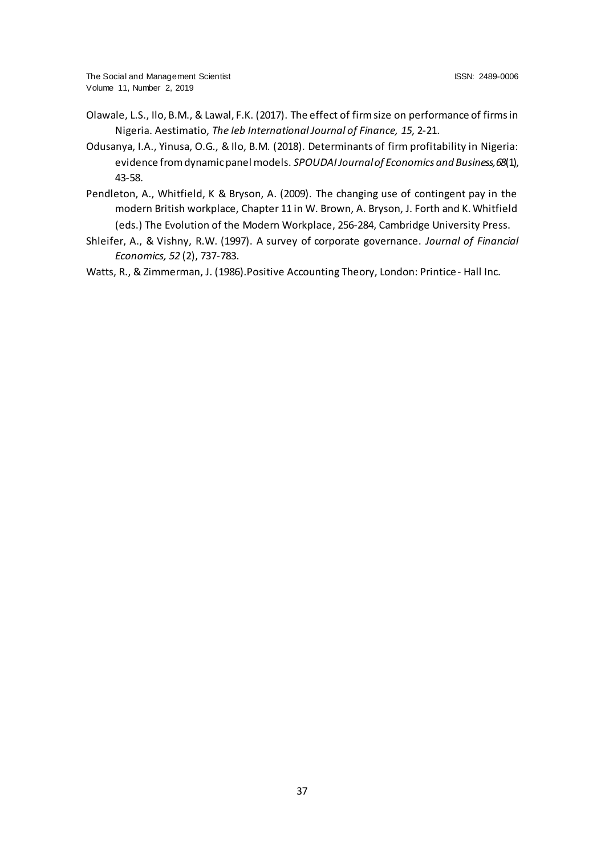- Olawale, L.S., Ilo, B.M., & Lawal, F.K. (2017). The effect of firm size on performance of firms in Nigeria. Aestimatio, *The Ieb International Journal of Finance, 15*, 2-21.
- Odusanya, I.A., Yinusa, O.G., & Ilo, B.M. (2018). Determinants of firm profitability in Nigeria: evidence from dynamic panel models. *SPOUDAI Journal of Economics and Business, 68*(1), 43-58.
- Pendleton, A., Whitfield, K & Bryson, A. (2009). The changing use of contingent pay in the modern British workplace, Chapter 11 in W. Brown, A. Bryson, J. Forth and K. Whitfield (eds.) The Evolution of the Modern Workplace, 256-284, Cambridge University Press.
- Shleifer, A., & Vishny, R.W. (1997). A survey of corporate governance. *Journal of Financial Economics, 52* (2), 737-783.

Watts, R., & Zimmerman, J. (1986).Positive Accounting Theory, London: Printice- Hall Inc.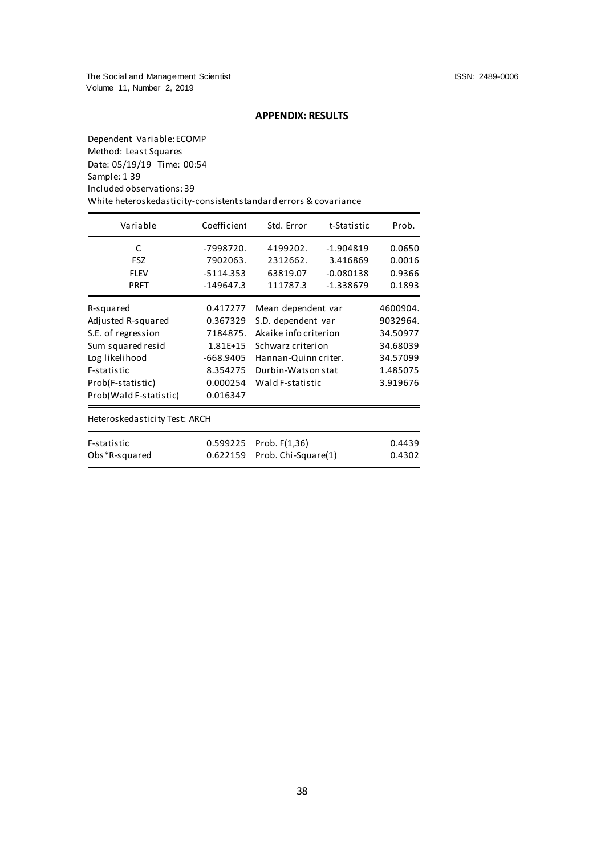# **APPENDIX: RESULTS**

Dependent Variable: ECOMP Method: Least Squares Date: 05/19/19 Time: 00:54 Sample: 1 39 Included observations: 39 White heteroskedasticity-consistent standard errors & covariance

| Variable                       | Coefficient | Std. Error            | t-Statistic | Prob.    |
|--------------------------------|-------------|-----------------------|-------------|----------|
| C                              | -7998720.   | 4199202.              | $-1.904819$ | 0.0650   |
| <b>FSZ</b>                     | 7902063.    | 2312662.              | 3.416869    | 0.0016   |
| <b>FLEV</b>                    | $-5114.353$ | 63819.07              | $-0.080138$ | 0.9366   |
| <b>PRFT</b>                    | -149647.3   | 111787.3              | -1.338679   | 0.1893   |
| R-squared                      | 0.417277    | Mean dependent var    |             | 4600904. |
| Adjusted R-squared             | 0.367329    | S.D. dependent var    |             | 9032964. |
| S.E. of regression             | 7184875.    | Akaike info criterion |             | 34.50977 |
| Sum squared resid              | 1.81E+15    | Schwarz criterion     |             | 34.68039 |
| Log likelihood                 | -668.9405   | Hannan-Quinn criter.  |             | 34.57099 |
| F-statistic                    | 8.354275    | Durbin-Watson stat    |             | 1.485075 |
| Prob(F-statistic)              | 0.000254    | Wald F-statistic      |             | 3.919676 |
| Prob(Wald F-statistic)         | 0.016347    |                       |             |          |
| Heteros kedasticity Test: ARCH |             |                       |             |          |
| F-statistic                    | 0.599225    | Prob. F(1,36)         |             | 0.4439   |
| Obs *R-squared                 | 0.622159    | Prob. Chi-Square(1)   |             | 0.4302   |